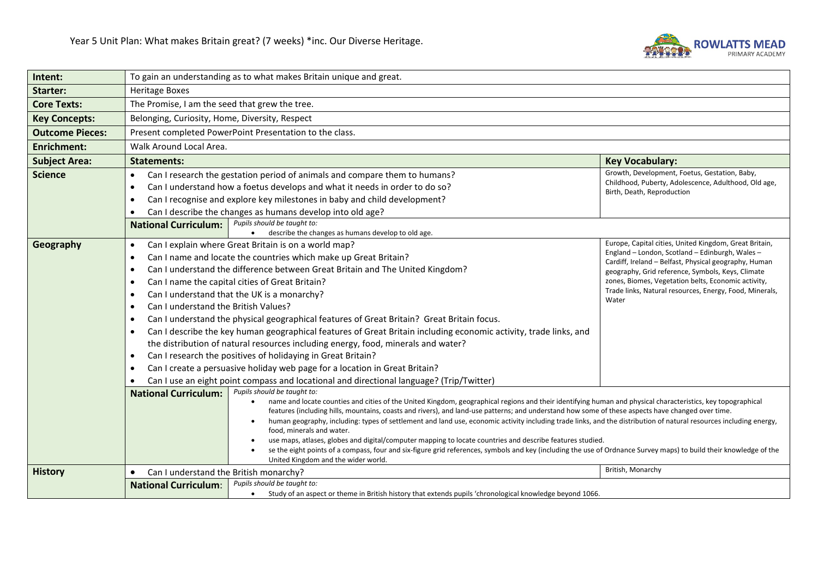

| Intent:                | To gain an understanding as to what makes Britain unique and great.                                                                                                                                                                                                                                                                                                                                                                                                                                                                                                                                                                                                                                                                                                                                                                                                                                                                                                                                                                               |                                                                                                                                         |                                                                                                                                                                                                                                                                                                                                           |  |
|------------------------|---------------------------------------------------------------------------------------------------------------------------------------------------------------------------------------------------------------------------------------------------------------------------------------------------------------------------------------------------------------------------------------------------------------------------------------------------------------------------------------------------------------------------------------------------------------------------------------------------------------------------------------------------------------------------------------------------------------------------------------------------------------------------------------------------------------------------------------------------------------------------------------------------------------------------------------------------------------------------------------------------------------------------------------------------|-----------------------------------------------------------------------------------------------------------------------------------------|-------------------------------------------------------------------------------------------------------------------------------------------------------------------------------------------------------------------------------------------------------------------------------------------------------------------------------------------|--|
| <b>Starter:</b>        | <b>Heritage Boxes</b>                                                                                                                                                                                                                                                                                                                                                                                                                                                                                                                                                                                                                                                                                                                                                                                                                                                                                                                                                                                                                             |                                                                                                                                         |                                                                                                                                                                                                                                                                                                                                           |  |
| <b>Core Texts:</b>     | The Promise, I am the seed that grew the tree.                                                                                                                                                                                                                                                                                                                                                                                                                                                                                                                                                                                                                                                                                                                                                                                                                                                                                                                                                                                                    |                                                                                                                                         |                                                                                                                                                                                                                                                                                                                                           |  |
| <b>Key Concepts:</b>   | Belonging, Curiosity, Home, Diversity, Respect                                                                                                                                                                                                                                                                                                                                                                                                                                                                                                                                                                                                                                                                                                                                                                                                                                                                                                                                                                                                    |                                                                                                                                         |                                                                                                                                                                                                                                                                                                                                           |  |
| <b>Outcome Pieces:</b> |                                                                                                                                                                                                                                                                                                                                                                                                                                                                                                                                                                                                                                                                                                                                                                                                                                                                                                                                                                                                                                                   | Present completed PowerPoint Presentation to the class.                                                                                 |                                                                                                                                                                                                                                                                                                                                           |  |
| <b>Enrichment:</b>     | Walk Around Local Area.                                                                                                                                                                                                                                                                                                                                                                                                                                                                                                                                                                                                                                                                                                                                                                                                                                                                                                                                                                                                                           |                                                                                                                                         |                                                                                                                                                                                                                                                                                                                                           |  |
| <b>Subject Area:</b>   | <b>Statements:</b>                                                                                                                                                                                                                                                                                                                                                                                                                                                                                                                                                                                                                                                                                                                                                                                                                                                                                                                                                                                                                                | <b>Key Vocabulary:</b>                                                                                                                  |                                                                                                                                                                                                                                                                                                                                           |  |
| <b>Science</b>         | Growth, Development, Foetus, Gestation, Baby,<br>Can I research the gestation period of animals and compare them to humans?<br>$\bullet$<br>Childhood, Puberty, Adolescence, Adulthood, Old age,<br>Can I understand how a foetus develops and what it needs in order to do so?<br>$\bullet$<br>Birth, Death, Reproduction<br>Can I recognise and explore key milestones in baby and child development?<br>$\bullet$<br>Can I describe the changes as humans develop into old age?<br>$\bullet$                                                                                                                                                                                                                                                                                                                                                                                                                                                                                                                                                   |                                                                                                                                         |                                                                                                                                                                                                                                                                                                                                           |  |
|                        | Pupils should be taught to:<br><b>National Curriculum:</b><br>describe the changes as humans develop to old age.                                                                                                                                                                                                                                                                                                                                                                                                                                                                                                                                                                                                                                                                                                                                                                                                                                                                                                                                  |                                                                                                                                         |                                                                                                                                                                                                                                                                                                                                           |  |
| Geography              | Can I explain where Great Britain is on a world map?<br>$\bullet$<br>Can I name and locate the countries which make up Great Britain?<br>$\bullet$<br>Can I understand the difference between Great Britain and The United Kingdom?<br>$\bullet$<br>Can I name the capital cities of Great Britain?<br>$\bullet$<br>Can I understand that the UK is a monarchy?<br>$\bullet$<br>Water<br>Can I understand the British Values?<br>$\bullet$<br>Can I understand the physical geographical features of Great Britain? Great Britain focus.<br>$\bullet$<br>Can I describe the key human geographical features of Great Britain including economic activity, trade links, and<br>$\bullet$<br>the distribution of natural resources including energy, food, minerals and water?<br>Can I research the positives of holidaying in Great Britain?<br>$\bullet$<br>Can I create a persuasive holiday web page for a location in Great Britain?<br>$\bullet$<br>Can I use an eight point compass and locational and directional language? (Trip/Twitter) |                                                                                                                                         | Europe, Capital cities, United Kingdom, Great Britain,<br>England - London, Scotland - Edinburgh, Wales -<br>Cardiff, Ireland - Belfast, Physical geography, Human<br>geography, Grid reference, Symbols, Keys, Climate<br>zones, Biomes, Vegetation belts, Economic activity,<br>Trade links, Natural resources, Energy, Food, Minerals, |  |
| <b>History</b>         | Pupils should be taught to:<br><b>National Curriculum:</b><br>name and locate counties and cities of the United Kingdom, geographical regions and their identifying human and physical characteristics, key topographical<br>$\bullet$<br>features (including hills, mountains, coasts and rivers), and land-use patterns; and understand how some of these aspects have changed over time.<br>human geography, including: types of settlement and land use, economic activity including trade links, and the distribution of natural resources including energy,<br>food, minerals and water.<br>use maps, atlases, globes and digital/computer mapping to locate countries and describe features studied.<br>se the eight points of a compass, four and six-figure grid references, symbols and key (including the use of Ordnance Survey maps) to build their knowledge of the<br>United Kingdom and the wider world.<br>British, Monarchy<br>Can I understand the British monarchy?                                                           |                                                                                                                                         |                                                                                                                                                                                                                                                                                                                                           |  |
|                        | $\bullet$<br><b>National Curriculum:</b>                                                                                                                                                                                                                                                                                                                                                                                                                                                                                                                                                                                                                                                                                                                                                                                                                                                                                                                                                                                                          | Pupils should be taught to:<br>Study of an aspect or theme in British history that extends pupils 'chronological knowledge beyond 1066. |                                                                                                                                                                                                                                                                                                                                           |  |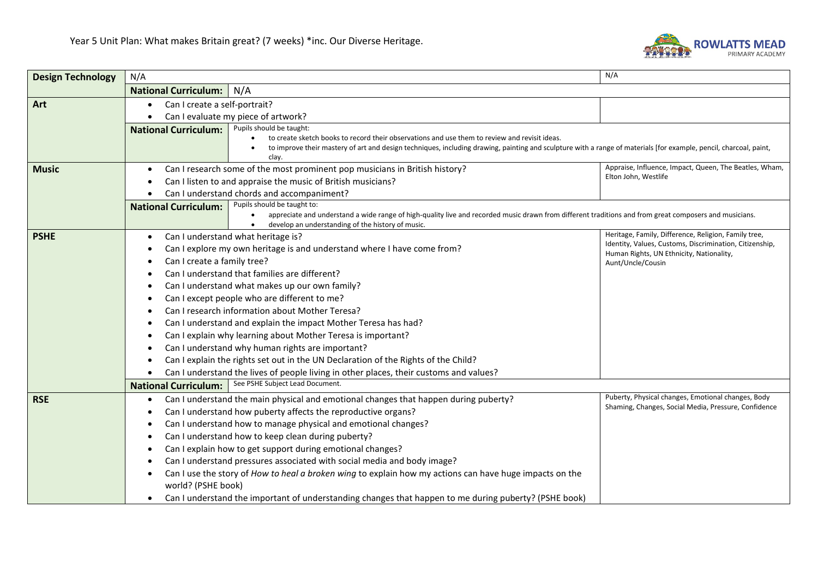

| <b>Design Technology</b> | N/A                           |                                                                                                                                                                                                                                                                    | N/A                                                                                                        |  |
|--------------------------|-------------------------------|--------------------------------------------------------------------------------------------------------------------------------------------------------------------------------------------------------------------------------------------------------------------|------------------------------------------------------------------------------------------------------------|--|
|                          | <b>National Curriculum:</b>   | N/A                                                                                                                                                                                                                                                                |                                                                                                            |  |
| Art                      | Can I create a self-portrait? |                                                                                                                                                                                                                                                                    |                                                                                                            |  |
|                          |                               | Can I evaluate my piece of artwork?                                                                                                                                                                                                                                |                                                                                                            |  |
|                          | <b>National Curriculum:</b>   | Pupils should be taught:                                                                                                                                                                                                                                           |                                                                                                            |  |
|                          |                               | to create sketch books to record their observations and use them to review and revisit ideas.<br>to improve their mastery of art and design techniques, including drawing, painting and sculpture with a range of materials [for example, pencil, charcoal, paint, |                                                                                                            |  |
|                          |                               | clay.                                                                                                                                                                                                                                                              |                                                                                                            |  |
| <b>Music</b>             |                               | Appraise, Influence, Impact, Queen, The Beatles, Wham,<br>Can I research some of the most prominent pop musicians in British history?                                                                                                                              |                                                                                                            |  |
|                          |                               | Can I listen to and appraise the music of British musicians?                                                                                                                                                                                                       | Elton John, Westlife                                                                                       |  |
|                          |                               | Can I understand chords and accompaniment?                                                                                                                                                                                                                         |                                                                                                            |  |
|                          | <b>National Curriculum:</b>   | Pupils should be taught to:                                                                                                                                                                                                                                        |                                                                                                            |  |
|                          |                               | appreciate and understand a wide range of high-quality live and recorded music drawn from different traditions and from great composers and musicians.<br>develop an understanding of the history of music.                                                        |                                                                                                            |  |
| <b>PSHE</b>              |                               | Can I understand what heritage is?                                                                                                                                                                                                                                 | Heritage, Family, Difference, Religion, Family tree,                                                       |  |
|                          |                               | Can I explore my own heritage is and understand where I have come from?                                                                                                                                                                                            | Identity, Values, Customs, Discrimination, Citizenship,                                                    |  |
|                          | Can I create a family tree?   |                                                                                                                                                                                                                                                                    | Human Rights, UN Ethnicity, Nationality,<br>Aunt/Uncle/Cousin                                              |  |
|                          |                               | Can I understand that families are different?                                                                                                                                                                                                                      |                                                                                                            |  |
|                          |                               | Can I understand what makes up our own family?                                                                                                                                                                                                                     |                                                                                                            |  |
|                          |                               | Can I except people who are different to me?                                                                                                                                                                                                                       |                                                                                                            |  |
|                          |                               | Can I research information about Mother Teresa?                                                                                                                                                                                                                    |                                                                                                            |  |
|                          |                               | Can I understand and explain the impact Mother Teresa has had?                                                                                                                                                                                                     |                                                                                                            |  |
|                          |                               | Can I explain why learning about Mother Teresa is important?                                                                                                                                                                                                       |                                                                                                            |  |
|                          |                               | Can I understand why human rights are important?                                                                                                                                                                                                                   |                                                                                                            |  |
|                          |                               | Can I explain the rights set out in the UN Declaration of the Rights of the Child?                                                                                                                                                                                 |                                                                                                            |  |
|                          |                               | Can I understand the lives of people living in other places, their customs and values?                                                                                                                                                                             |                                                                                                            |  |
|                          | <b>National Curriculum:</b>   | See PSHE Subject Lead Document.                                                                                                                                                                                                                                    |                                                                                                            |  |
| <b>RSE</b>               | ٠                             | Can I understand the main physical and emotional changes that happen during puberty?                                                                                                                                                                               | Puberty, Physical changes, Emotional changes, Body<br>Shaming, Changes, Social Media, Pressure, Confidence |  |
|                          |                               | Can I understand how puberty affects the reproductive organs?                                                                                                                                                                                                      |                                                                                                            |  |
|                          |                               | Can I understand how to manage physical and emotional changes?                                                                                                                                                                                                     |                                                                                                            |  |
|                          |                               | Can I understand how to keep clean during puberty?                                                                                                                                                                                                                 |                                                                                                            |  |
|                          |                               | Can I explain how to get support during emotional changes?                                                                                                                                                                                                         |                                                                                                            |  |
|                          |                               | Can I understand pressures associated with social media and body image?                                                                                                                                                                                            |                                                                                                            |  |
|                          |                               | Can I use the story of How to heal a broken wing to explain how my actions can have huge impacts on the                                                                                                                                                            |                                                                                                            |  |
|                          | world? (PSHE book)            |                                                                                                                                                                                                                                                                    |                                                                                                            |  |
|                          |                               | Can I understand the important of understanding changes that happen to me during puberty? (PSHE book)                                                                                                                                                              |                                                                                                            |  |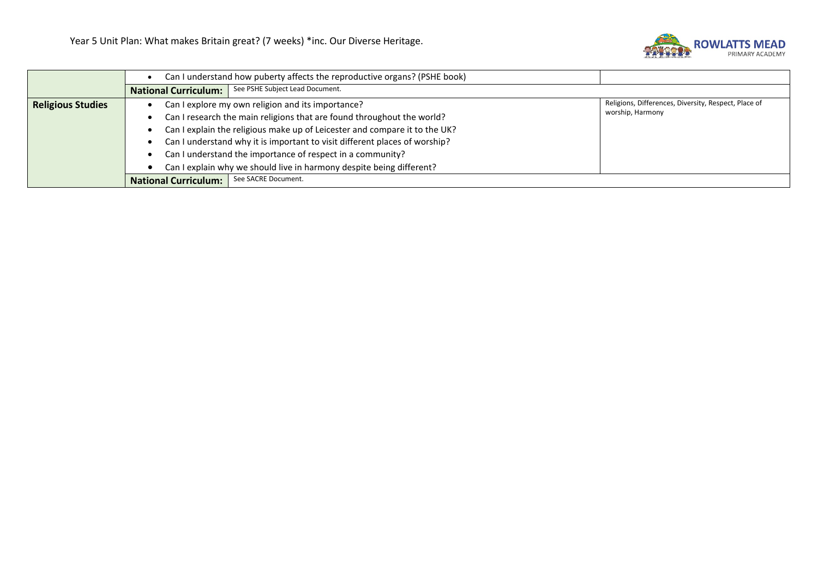

|                          | Can I understand how puberty affects the reproductive organs? (PSHE book) |                                                                            |                                                      |
|--------------------------|---------------------------------------------------------------------------|----------------------------------------------------------------------------|------------------------------------------------------|
|                          | <b>National Curriculum:</b>                                               | See PSHE Subject Lead Document.                                            |                                                      |
| <b>Religious Studies</b> |                                                                           | Can I explore my own religion and its importance?                          | Religions, Differences, Diversity, Respect, Place of |
|                          |                                                                           | Can I research the main religions that are found throughout the world?     | worship, Harmony                                     |
|                          |                                                                           | Can I explain the religious make up of Leicester and compare it to the UK? |                                                      |
|                          |                                                                           | Can I understand why it is important to visit different places of worship? |                                                      |
|                          |                                                                           | Can I understand the importance of respect in a community?                 |                                                      |
|                          |                                                                           | Can I explain why we should live in harmony despite being different?       |                                                      |
|                          | <b>National Curriculum:</b>                                               | See SACRE Document.                                                        |                                                      |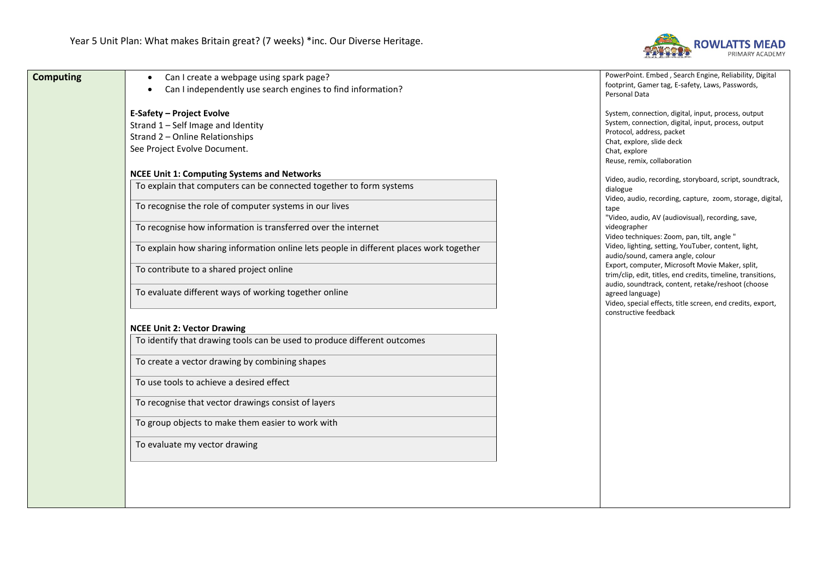

| <b>Computing</b> | Can I create a webpage using spark page?<br>$\bullet$                                   | PowerPoint. Embed, Search Engine, Reliability, Digital                               |
|------------------|-----------------------------------------------------------------------------------------|--------------------------------------------------------------------------------------|
|                  | Can I independently use search engines to find information?                             | footprint, Gamer tag, E-safety, Laws, Passwords,<br>Personal Data                    |
|                  |                                                                                         |                                                                                      |
|                  | <b>E-Safety - Project Evolve</b>                                                        | System, connection, digital, input, process, output                                  |
|                  | Strand 1 - Self Image and Identity                                                      | System, connection, digital, input, process, output                                  |
|                  | Strand 2 - Online Relationships                                                         | Protocol, address, packet<br>Chat, explore, slide deck                               |
|                  | See Project Evolve Document.                                                            | Chat, explore                                                                        |
|                  |                                                                                         | Reuse, remix, collaboration                                                          |
|                  | <b>NCEE Unit 1: Computing Systems and Networks</b>                                      | Video, audio, recording, storyboard, script, soundtrack,                             |
|                  | To explain that computers can be connected together to form systems                     | dialogue                                                                             |
|                  |                                                                                         | Video, audio, recording, capture, zoom, storage, digital,                            |
|                  | To recognise the role of computer systems in our lives                                  | tape                                                                                 |
|                  | To recognise how information is transferred over the internet                           | "Video, audio, AV (audiovisual), recording, save,<br>videographer                    |
|                  |                                                                                         | Video techniques: Zoom, pan, tilt, angle "                                           |
|                  | To explain how sharing information online lets people in different places work together | Video, lighting, setting, YouTuber, content, light,                                  |
|                  |                                                                                         | audio/sound, camera angle, colour<br>Export, computer, Microsoft Movie Maker, split, |
|                  | To contribute to a shared project online                                                | trim/clip, edit, titles, end credits, timeline, transitions,                         |
|                  |                                                                                         | audio, soundtrack, content, retake/reshoot (choose                                   |
|                  | To evaluate different ways of working together online                                   | agreed language)<br>Video, special effects, title screen, end credits, export,       |
|                  |                                                                                         | constructive feedback                                                                |
|                  | <b>NCEE Unit 2: Vector Drawing</b>                                                      |                                                                                      |
|                  | To identify that drawing tools can be used to produce different outcomes                |                                                                                      |
|                  |                                                                                         |                                                                                      |
|                  | To create a vector drawing by combining shapes                                          |                                                                                      |
|                  |                                                                                         |                                                                                      |
|                  | To use tools to achieve a desired effect                                                |                                                                                      |
|                  | To recognise that vector drawings consist of layers                                     |                                                                                      |
|                  |                                                                                         |                                                                                      |
|                  | To group objects to make them easier to work with                                       |                                                                                      |
|                  |                                                                                         |                                                                                      |
|                  | To evaluate my vector drawing                                                           |                                                                                      |
|                  |                                                                                         |                                                                                      |
|                  |                                                                                         |                                                                                      |
|                  |                                                                                         |                                                                                      |
|                  |                                                                                         |                                                                                      |
|                  |                                                                                         |                                                                                      |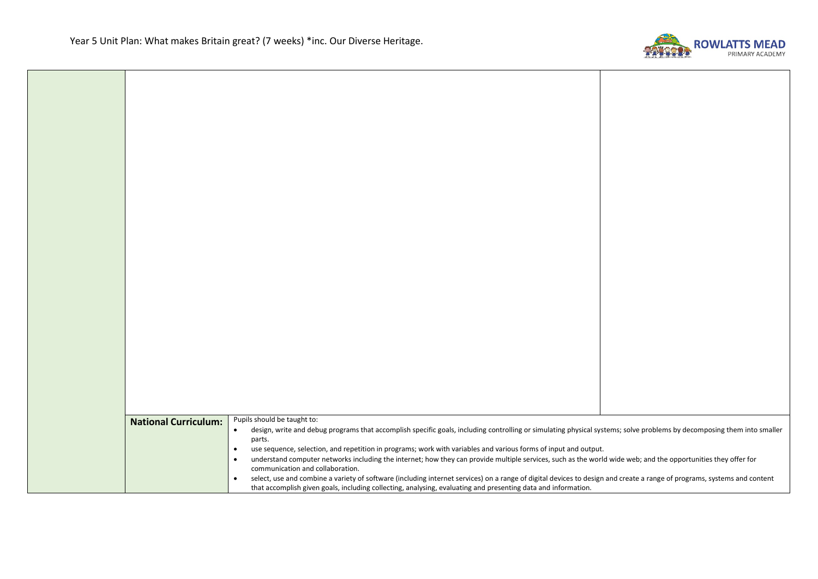

| <b>National Curriculum:</b> | Pupils should be taught to:<br>design, write and debug programs that accomplish specific goals, including controlling or simulating physical systems; solve problems by decomposing them into smaller<br>$\bullet$ |  |
|-----------------------------|--------------------------------------------------------------------------------------------------------------------------------------------------------------------------------------------------------------------|--|
|                             | parts.                                                                                                                                                                                                             |  |
|                             | use sequence, selection, and repetition in programs; work with variables and various forms of input and output.<br>$\bullet$                                                                                       |  |
|                             | understand computer networks including the internet; how they can provide multiple services, such as the world wide web; and the opportunities they offer for<br>$\bullet$                                         |  |
|                             | communication and collaboration.                                                                                                                                                                                   |  |
|                             | select, use and combine a variety of software (including internet services) on a range of digital devices to design and create a range of programs, systems and content<br>$\bullet$                               |  |
|                             | that accomplish given goals, including collecting, analysing, evaluating and presenting data and information.                                                                                                      |  |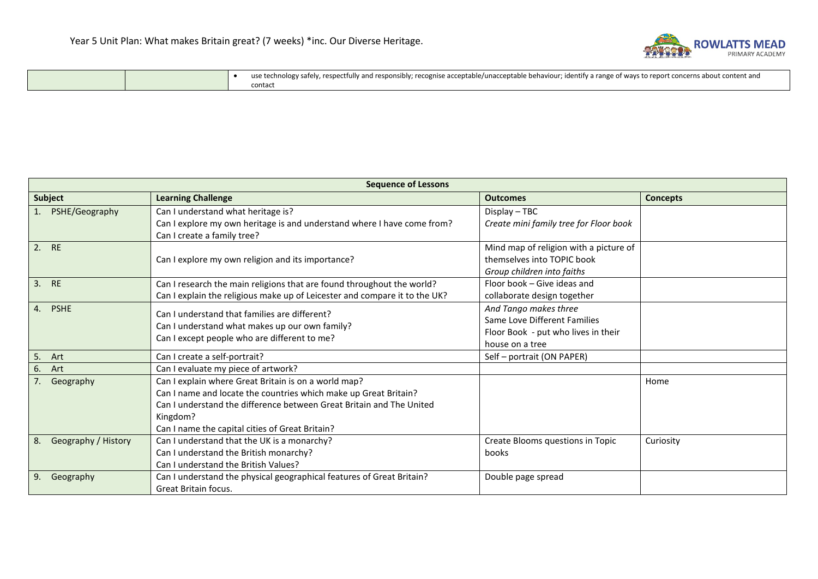

|  | y; recognise acceptable/unacceptable behaviour; identify a range of ways to report concerns about<br>1104<br>. respectfully and responsibly:<br>v safel'<br>Content and |
|--|-------------------------------------------------------------------------------------------------------------------------------------------------------------------------|
|  | rontac⊾                                                                                                                                                                 |

| <b>Sequence of Lessons</b> |                                                                                                                                                                                                                                                                 |                                                                                                                 |                 |  |
|----------------------------|-----------------------------------------------------------------------------------------------------------------------------------------------------------------------------------------------------------------------------------------------------------------|-----------------------------------------------------------------------------------------------------------------|-----------------|--|
| Subject                    | <b>Learning Challenge</b>                                                                                                                                                                                                                                       | <b>Outcomes</b>                                                                                                 | <b>Concepts</b> |  |
| PSHE/Geography             | Can I understand what heritage is?<br>Can I explore my own heritage is and understand where I have come from?<br>Can I create a family tree?                                                                                                                    | Display - TBC<br>Create mini family tree for Floor book                                                         |                 |  |
| 2. RE                      | Can I explore my own religion and its importance?                                                                                                                                                                                                               | Mind map of religion with a picture of<br>themselves into TOPIC book<br>Group children into faiths              |                 |  |
| 3. RE                      | Can I research the main religions that are found throughout the world?<br>Can I explain the religious make up of Leicester and compare it to the UK?                                                                                                            | Floor book – Give ideas and<br>collaborate design together                                                      |                 |  |
| 4. PSHE                    | Can I understand that families are different?<br>Can I understand what makes up our own family?<br>Can I except people who are different to me?                                                                                                                 | And Tango makes three<br>Same Love Different Families<br>Floor Book - put who lives in their<br>house on a tree |                 |  |
| 5. Art                     | Can I create a self-portrait?                                                                                                                                                                                                                                   | Self - portrait (ON PAPER)                                                                                      |                 |  |
| 6. Art                     | Can I evaluate my piece of artwork?                                                                                                                                                                                                                             |                                                                                                                 |                 |  |
| Geography                  | Can I explain where Great Britain is on a world map?<br>Can I name and locate the countries which make up Great Britain?<br>Can I understand the difference between Great Britain and The United<br>Kingdom?<br>Can I name the capital cities of Great Britain? |                                                                                                                 | Home            |  |
| Geography / History<br>8.  | Can I understand that the UK is a monarchy?<br>Can I understand the British monarchy?<br>Can I understand the British Values?                                                                                                                                   | Create Blooms questions in Topic<br>books                                                                       | Curiosity       |  |
| 9.<br>Geography            | Can I understand the physical geographical features of Great Britain?<br>Great Britain focus.                                                                                                                                                                   | Double page spread                                                                                              |                 |  |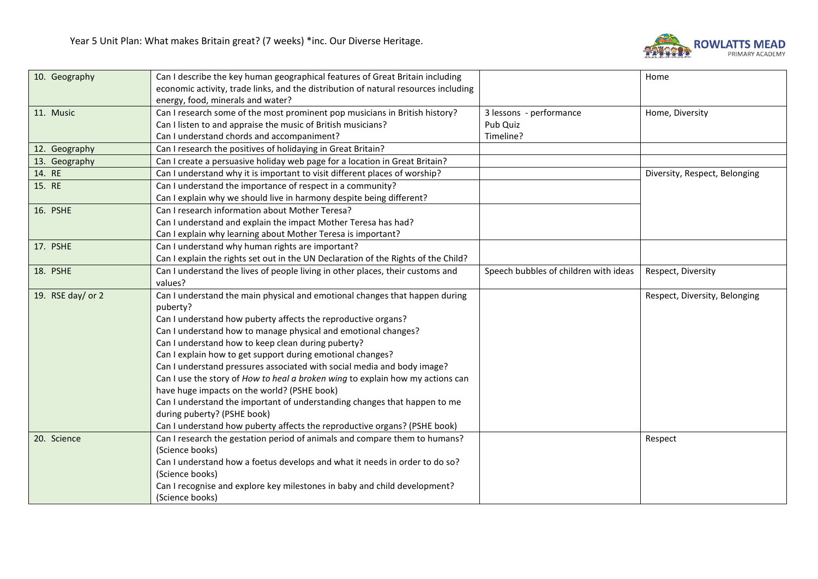

| 10. Geography       | Can I describe the key human geographical features of Great Britain including       |                                       | Home                          |
|---------------------|-------------------------------------------------------------------------------------|---------------------------------------|-------------------------------|
|                     | economic activity, trade links, and the distribution of natural resources including |                                       |                               |
|                     | energy, food, minerals and water?                                                   |                                       |                               |
| 11. Music           | Can I research some of the most prominent pop musicians in British history?         | 3 lessons - performance               | Home, Diversity               |
|                     | Can I listen to and appraise the music of British musicians?                        | Pub Quiz                              |                               |
|                     | Can I understand chords and accompaniment?                                          | Timeline?                             |                               |
| 12. Geography       | Can I research the positives of holidaying in Great Britain?                        |                                       |                               |
| 13. Geography       | Can I create a persuasive holiday web page for a location in Great Britain?         |                                       |                               |
| 14. RE              | Can I understand why it is important to visit different places of worship?          |                                       | Diversity, Respect, Belonging |
| 15. RE              | Can I understand the importance of respect in a community?                          |                                       |                               |
|                     | Can I explain why we should live in harmony despite being different?                |                                       |                               |
| 16. PSHE            | Can I research information about Mother Teresa?                                     |                                       |                               |
|                     | Can I understand and explain the impact Mother Teresa has had?                      |                                       |                               |
|                     | Can I explain why learning about Mother Teresa is important?                        |                                       |                               |
| 17. PSHE            | Can I understand why human rights are important?                                    |                                       |                               |
|                     | Can I explain the rights set out in the UN Declaration of the Rights of the Child?  |                                       |                               |
| 18. PSHE            | Can I understand the lives of people living in other places, their customs and      | Speech bubbles of children with ideas | Respect, Diversity            |
|                     | values?                                                                             |                                       |                               |
| 19. RSE day/ or $2$ | Can I understand the main physical and emotional changes that happen during         |                                       | Respect, Diversity, Belonging |
|                     | puberty?                                                                            |                                       |                               |
|                     | Can I understand how puberty affects the reproductive organs?                       |                                       |                               |
|                     | Can I understand how to manage physical and emotional changes?                      |                                       |                               |
|                     | Can I understand how to keep clean during puberty?                                  |                                       |                               |
|                     | Can I explain how to get support during emotional changes?                          |                                       |                               |
|                     | Can I understand pressures associated with social media and body image?             |                                       |                               |
|                     | Can I use the story of How to heal a broken wing to explain how my actions can      |                                       |                               |
|                     | have huge impacts on the world? (PSHE book)                                         |                                       |                               |
|                     | Can I understand the important of understanding changes that happen to me           |                                       |                               |
|                     | during puberty? (PSHE book)                                                         |                                       |                               |
|                     | Can I understand how puberty affects the reproductive organs? (PSHE book)           |                                       |                               |
| 20. Science         | Can I research the gestation period of animals and compare them to humans?          |                                       | Respect                       |
|                     | (Science books)                                                                     |                                       |                               |
|                     | Can I understand how a foetus develops and what it needs in order to do so?         |                                       |                               |
|                     | (Science books)                                                                     |                                       |                               |
|                     | Can I recognise and explore key milestones in baby and child development?           |                                       |                               |
|                     | (Science books)                                                                     |                                       |                               |